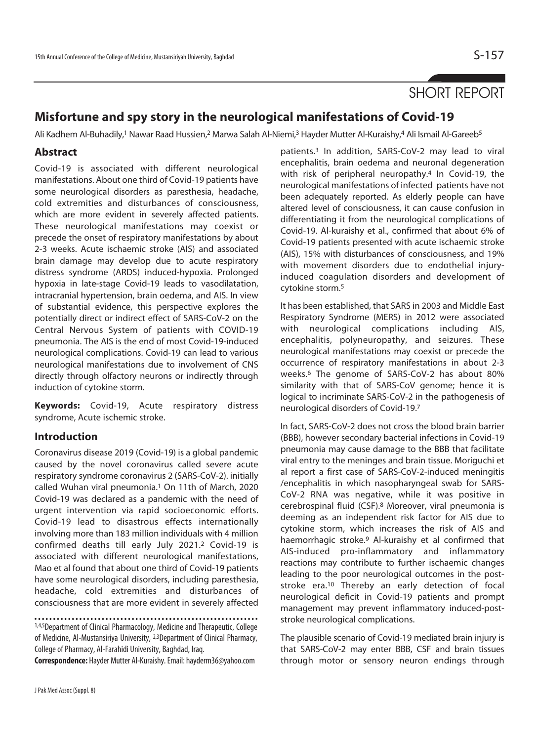# SHORT REPORT

## **Misfortune and spy story in the neurological manifestations of Covid-19**

Ali Kadhem Al-Buhadily,<sup>1</sup> Nawar Raad Hussien,<sup>2</sup> Marwa Salah Al-Niemi,<sup>3</sup> Hayder Mutter Al-Kuraishy,4 Ali Ismail Al-Gareeb<sup>5</sup>

## **Abstract**

Covid-19 is associated with different neurological manifestations. About one third of Covid-19 patients have some neurological disorders as paresthesia, headache, cold extremities and disturbances of consciousness, which are more evident in severely affected patients. These neurological manifestations may coexist or precede the onset of respiratory manifestations by about 2-3 weeks. Acute ischaemic stroke (AIS) and associated brain damage may develop due to acute respiratory distress syndrome (ARDS) induced-hypoxia. Prolonged hypoxia in late-stage Covid-19 leads to vasodilatation, intracranial hypertension, brain oedema, and AIS. In view of substantial evidence, this perspective explores the potentially direct or indirect effect of SARS-CoV-2 on the Central Nervous System of patients with COVID-19 pneumonia. The AIS is the end of most Covid-19-induced neurological complications. Covid-19 can lead to various neurological manifestations due to involvement of CNS directly through olfactory neurons or indirectly through induction of cytokine storm.

**Keywords:** Covid-19, Acute respiratory distress syndrome, Acute ischemic stroke.

## **Introduction**

Coronavirus disease 2019 (Covid-19) is a global pandemic caused by the novel coronavirus called severe acute respiratory syndrome coronavirus 2 (SARS-CoV-2). initially called Wuhan viral pneumonia.<sup>1</sup> On 11th of March, 2020 Covid-19 was declared as a pandemic with the need of urgent intervention via rapid socioeconomic efforts. Covid-19 lead to disastrous effects internationally involving more than 183 million individuals with 4 million confirmed deaths till early July 2021.2 Covid-19 is associated with different neurological manifestations, Mao et al found that about one third of Covid-19 patients have some neurological disorders, including paresthesia, headache, cold extremities and disturbances of consciousness that are more evident in severely affected

1,4,5Department of Clinical Pharmacology, Medicine and Therapeutic, College of Medicine, Al-Mustansiriya University, 2,3Department of Clinical Pharmacy, College of Pharmacy, Al-Farahidi University, Baghdad, Iraq.

**Correspondence:** Hayder Mutter Al-Kuraishy. Email: hayderm36@yahoo.com

patients.3 In addition, SARS-CoV-2 may lead to viral encephalitis, brain oedema and neuronal degeneration with risk of peripheral neuropathy.4 In Covid-19, the neurological manifestations of infected patients have not been adequately reported. As elderly people can have altered level of consciousness, it can cause confusion in differentiating it from the neurological complications of Covid-19. Al-kuraishy et al., confirmed that about 6% of Covid-19 patients presented with acute ischaemic stroke (AIS), 15% with disturbances of consciousness, and 19% with movement disorders due to endothelial injuryinduced coagulation disorders and development of cytokine storm.5

It has been established, that SARS in 2003 and Middle East Respiratory Syndrome (MERS) in 2012 were associated with neurological complications including AIS, encephalitis, polyneuropathy, and seizures. These neurological manifestations may coexist or precede the occurrence of respiratory manifestations in about 2-3 weeks.6 The genome of SARS-CoV-2 has about 80% similarity with that of SARS-CoV genome; hence it is logical to incriminate SARS-CoV-2 in the pathogenesis of neurological disorders of Covid-19.7

In fact, SARS-CoV-2 does not cross the blood brain barrier (BBB), however secondary bacterial infections in Covid-19 pneumonia may cause damage to the BBB that facilitate viral entry to the meninges and brain tissue. Moriguchi et al report a first case of SARS-CoV-2-induced meningitis /encephalitis in which nasopharyngeal swab for SARS-CoV-2 RNA was negative, while it was positive in cerebrospinal fluid (CSF).8 Moreover, viral pneumonia is deeming as an independent risk factor for AIS due to cytokine storm, which increases the risk of AIS and haemorrhagic stroke.9 Al-kuraishy et al confirmed that AIS-induced pro-inflammatory and inflammatory reactions may contribute to further ischaemic changes leading to the poor neurological outcomes in the poststroke era.10 Thereby an early detection of focal neurological deficit in Covid-19 patients and prompt management may prevent inflammatory induced-poststroke neurological complications.

The plausible scenario of Covid-19 mediated brain injury is that SARS-CoV-2 may enter BBB, CSF and brain tissues through motor or sensory neuron endings through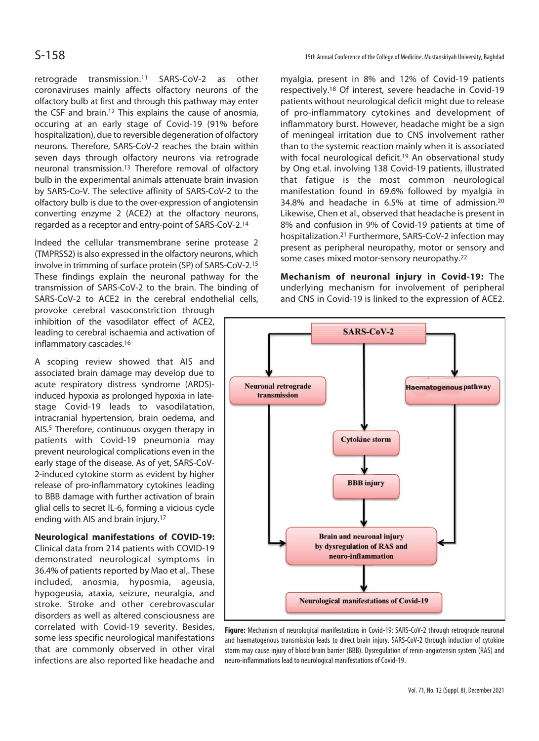S-158 15th Annual Conference of the College of Medicine, Mustansiriyah University, Baghdad

retrograde transmission.11 SARS-CoV-2 as other coronaviruses mainly affects olfactory neurons of the olfactory bulb at first and through this pathway may enter the CSF and brain.12 This explains the cause of anosmia, occuring at an early stage of Covid-19 (91% before hospitalization), due to reversible degeneration of olfactory neurons. Therefore, SARS-CoV-2 reaches the brain within seven days through olfactory neurons via retrograde neuronal transmission.13 Therefore removal of olfactory bulb in the experimental animals attenuate brain invasion by SARS-Co-V. The selective affinity of SARS-CoV-2 to the olfactory bulb is due to the over-expression of angiotensin converting enzyme 2 (ACE2) at the olfactory neurons, regarded as a receptor and entry-point of SARS-CoV-2.14

Indeed the cellular transmembrane serine protease 2 (TMPRSS2) is also expressed in the olfactory neurons, which involve in trimming of surface protein (SP) of SARS-CoV-2.15 These findings explain the neuronal pathway for the transmission of SARS-CoV-2 to the brain. The binding of SARS-CoV-2 to ACE2 in the cerebral endothelial cells,

provoke cerebral vasoconstriction through inhibition of the vasodilator effect of ACE2, leading to cerebral ischaemia and activation of inflammatory cascades.16

A scoping review showed that AIS and associated brain damage may develop due to acute respiratory distress syndrome (ARDS) induced hypoxia as prolonged hypoxia in latestage Covid-19 leads to vasodilatation, intracranial hypertension, brain oedema, and AIS.5 Therefore, continuous oxygen therapy in patients with Covid-19 pneumonia may prevent neurological complications even in the early stage of the disease. As of yet, SARS-CoV-2-induced cytokine storm as evident by higher release of pro-inflammatory cytokines leading to BBB damage with further activation of brain glial cells to secret IL-6, forming a vicious cycle ending with AIS and brain injury.17

## **Neurological manifestations of COVID-19:**

Clinical data from 214 patients with COVID-19 demonstrated neurological symptoms in 36.4% of patients reported by Mao et al,. These included, anosmia, hyposmia, ageusia, hypogeusia, ataxia, seizure, neuralgia, and stroke. Stroke and other cerebrovascular disorders as well as altered consciousness are correlated with Covid-19 severity. Besides, some less specific neurological manifestations that are commonly observed in other viral infections are also reported like headache and

myalgia, present in 8% and 12% of Covid-19 patients respectively.18 Of interest, severe headache in Covid-19 patients without neurological deficit might due to release of pro-inflammatory cytokines and development of inflammatory burst. However, headache might be a sign of meningeal irritation due to CNS involvement rather than to the systemic reaction mainly when it is associated with focal neurological deficit.<sup>19</sup> An observational study by Ong et.al. involving 138 Covid-19 patients, illustrated that fatigue is the most common neurological manifestation found in 69.6% followed by myalgia in 34.8% and headache in 6.5% at time of admission.20 Likewise, Chen et al., observed that headache is present in 8% and confusion in 9% of Covid-19 patients at time of hospitalization.21 Furthermore, SARS-CoV-2 infection may present as peripheral neuropathy, motor or sensory and some cases mixed motor-sensory neuropathy.22

**Mechanism of neuronal injury in Covid-19:** The underlying mechanism for involvement of peripheral and CNS in Covid-19 is linked to the expression of ACE2.



**Figure:** Mechanism of neurological manifestations in Covid-19: SARS-CoV-2 through retrograde neuronal and haematogenous transmission leads to direct brain injury. SARS-CoV-2 through induction of cytokine storm may cause injury of blood brain barrier (BBB). Dysregulation of renin-angiotensin system (RAS) and neuro-inflammations lead to neurological manifestations of Covid-19.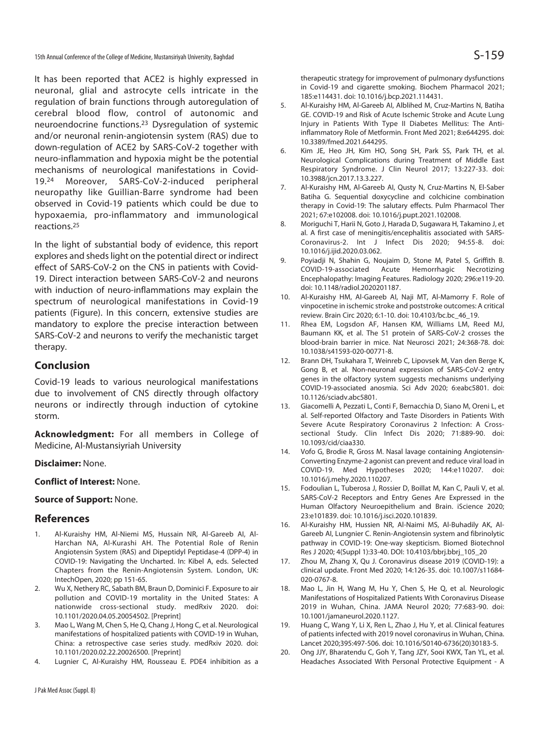It has been reported that ACE2 is highly expressed in neuronal, glial and astrocyte cells intricate in the regulation of brain functions through autoregulation of cerebral blood flow, control of autonomic and neuroendocrine functions.23 Dysregulation of systemic and/or neuronal renin-angiotensin system (RAS) due to down-regulation of ACE2 by SARS-CoV-2 together with neuro-inflammation and hypoxia might be the potential mechanisms of neurological manifestations in Covid-19.24 Moreover, SARS-CoV-2-induced peripheral neuropathy like Guillian-Barre syndrome had been observed in Covid-19 patients which could be due to hypoxaemia, pro-inflammatory and immunological reactions.25

In the light of substantial body of evidence, this report explores and sheds light on the potential direct or indirect effect of SARS-CoV-2 on the CNS in patients with Covid-19. Direct interaction between SARS-CoV-2 and neurons with induction of neuro-inflammations may explain the spectrum of neurological manifestations in Covid-19 patients (Figure). In this concern, extensive studies are mandatory to explore the precise interaction between SARS-CoV-2 and neurons to verify the mechanistic target therapy.

## **Conclusion**

Covid-19 leads to various neurological manifestations due to involvement of CNS directly through olfactory neurons or indirectly through induction of cytokine storm.

**Acknowledgment:** For all members in College of Medicine, Al-Mustansiyriah University

### **Disclaimer:** None.

#### **Conflict of Interest:** None.

#### **Source of Support:** None.

#### **References**

- 1. Al-Kuraishy HM, Al-Niemi MS, Hussain NR, Al-Gareeb AI, Al-Harchan NA, Al-Kurashi AH. The Potential Role of Renin Angiotensin System (RAS) and Dipeptidyl Peptidase-4 (DPP-4) in COVID-19: Navigating the Uncharted. In: Kibel A, eds. Selected Chapters from the Renin-Angiotensin System. London, UK: IntechOpen, 2020; pp 151-65.
- 2. Wu X, Nethery RC, Sabath BM, Braun D, Dominici F. Exposure to air pollution and COVID-19 mortality in the United States: A nationwide cross-sectional study. medRxiv 2020. doi: 10.1101/2020.04.05.20054502. [Preprint]
- 3. Mao L, Wang M, Chen S, He Q, Chang J, Hong C, et al. Neurological manifestations of hospitalized patients with COVID-19 in Wuhan, China: a retrospective case series study. medRxiv 2020. doi: 10.1101/2020.02.22.20026500. [Preprint]
- 4. Lugnier C, Al-Kuraishy HM, Rousseau E. PDE4 inhibition as a

therapeutic strategy for improvement of pulmonary dysfunctions in Covid-19 and cigarette smoking. Biochem Pharmacol 2021; 185:e114431. doi: 10.1016/j.bcp.2021.114431.

- 5. Al-Kuraishy HM, Al-Gareeb AI, Alblihed M, Cruz-Martins N, Batiha GE. COVID-19 and Risk of Acute Ischemic Stroke and Acute Lung Injury in Patients With Type II Diabetes Mellitus: The Antiinflammatory Role of Metformin. Front Med 2021; 8:e644295. doi: 10.3389/fmed.2021.644295.
- 6. Kim JE, Heo JH, Kim HO, Song SH, Park SS, Park TH, et al. Neurological Complications during Treatment of Middle East Respiratory Syndrome. J Clin Neurol 2017; 13:227-33. doi: 10.3988/jcn.2017.13.3.227.
- 7. Al-Kuraishy HM, Al-Gareeb AI, Qusty N, Cruz-Martins N, El-Saber Batiha G. Sequential doxycycline and colchicine combination therapy in Covid-19: The salutary effects. Pulm Pharmacol Ther 2021; 67:e102008. doi: 10.1016/j.pupt.2021.102008.
- 8. Moriguchi T, Harii N, Goto J, Harada D, Sugawara H, Takamino J, et al. A first case of meningitis/encephalitis associated with SARS-Coronavirus-2. Int J Infect Dis 2020; 94:55-8. doi: 10.1016/j.ijid.2020.03.062.
- 9. Poyiadji N, Shahin G, Noujaim D, Stone M, Patel S, Griffith B. COVID-19-associated Acute Hemorrhagic Necrotizing Encephalopathy: Imaging Features. Radiology 2020; 296:e119-20. doi: 10.1148/radiol.2020201187.
- 10. Al-Kuraishy HM, Al-Gareeb AI, Naji MT, Al-Mamorry F. Role of vinpocetine in ischemic stroke and poststroke outcomes: A critical review. Brain Circ 2020; 6:1-10. doi: 10.4103/bc.bc\_46\_19.
- 11. Rhea EM, Logsdon AF, Hansen KM, Williams LM, Reed MJ, Baumann KK, et al. The S1 protein of SARS-CoV-2 crosses the blood-brain barrier in mice. Nat Neurosci 2021; 24:368-78. doi: 10.1038/s41593-020-00771-8.
- 12. Brann DH, Tsukahara T, Weinreb C, Lipovsek M, Van den Berge K, Gong B, et al. Non-neuronal expression of SARS-CoV-2 entry genes in the olfactory system suggests mechanisms underlying COVID-19-associated anosmia. Sci Adv 2020; 6:eabc5801. doi: 10.1126/sciadv.abc5801.
- 13. Giacomelli A, Pezzati L, Conti F, Bernacchia D, Siano M, Oreni L, et al. Self-reported Olfactory and Taste Disorders in Patients With Severe Acute Respiratory Coronavirus 2 Infection: A Crosssectional Study. Clin Infect Dis 2020; 71:889-90. doi: 10.1093/cid/ciaa330.
- 14. Vofo G, Brodie R, Gross M. Nasal lavage containing Angiotensin-Converting Enzyme-2 agonist can prevent and reduce viral load in COVID-19. Med Hypotheses 2020; 144:e110207. doi: 10.1016/j.mehy.2020.110207.
- 15. Fodoulian L, Tuberosa J, Rossier D, Boillat M, Kan C, Pauli V, et al. SARS-CoV-2 Receptors and Entry Genes Are Expressed in the Human Olfactory Neuroepithelium and Brain. iScience 2020; 23:e101839. doi: 10.1016/j.isci.2020.101839.
- 16. Al-Kuraishy HM, Hussien NR, Al-Naimi MS, Al-Buhadily AK, Al-Gareeb AI, Lungnier C. Renin-Angiotensin system and fibrinolytic pathway in COVID-19: One-way skepticism. Biomed Biotechnol Res J 2020; 4(Suppl 1):33-40. DOI: 10.4103/bbrj.bbrj\_105\_20
- 17. Zhou M, Zhang X, Qu J. Coronavirus disease 2019 (COVID-19): a clinical update. Front Med 2020; 14:126-35. doi: 10.1007/s11684- 020-0767-8.
- 18. Mao L, Jin H, Wang M, Hu Y, Chen S, He Q, et al. Neurologic Manifestations of Hospitalized Patients With Coronavirus Disease 2019 in Wuhan, China. JAMA Neurol 2020; 77:683-90. doi: 10.1001/jamaneurol.2020.1127.
- 19. Huang C, Wang Y, Li X, Ren L, Zhao J, Hu Y, et al. Clinical features of patients infected with 2019 novel coronavirus in Wuhan, China. Lancet 2020;395:497-506. doi: 10.1016/S0140-6736(20)30183-5.
- 20. Ong JJY, Bharatendu C, Goh Y, Tang JZY, Sooi KWX, Tan YL, et al. Headaches Associated With Personal Protective Equipment - A